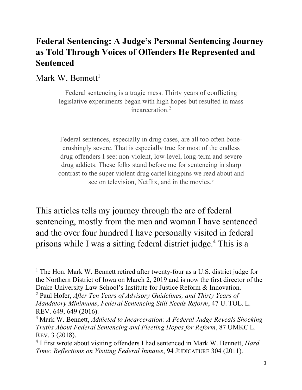## **Federal Sentencing: A Judge's Personal Sentencing Journey as Told Through Voices of Offenders He Represented and Sentenced**

Mark W. Bennett<sup>1</sup>

 $\overline{a}$ 

Federal sentencing is a tragic mess. Thirty years of conflicting legislative experiments began with high hopes but resulted in mass incarceration $^2$ 

Federal sentences, especially in drug cases, are all too often bonecrushingly severe. That is especially true for most of the endless drug offenders I see: non-violent, low-level, long-term and severe drug addicts. These folks stand before me for sentencing in sharp contrast to the super violent drug cartel kingpins we read about and see on television, Netflix, and in the movies.<sup>3</sup>

This articles tells my journey through the arc of federal sentencing, mostly from the men and woman I have sentenced and the over four hundred I have personally visited in federal prisons while I was a sitting federal district judge.4 This is a

<sup>&</sup>lt;sup>1</sup> The Hon. Mark W. Bennett retired after twenty-four as a U.S. district judge for the Northern District of Iowa on March 2, 2019 and is now the first director of the Drake University Law School's Institute for Justice Reform & Innovation.

<sup>2</sup> Paul Hofer, *After Ten Years of Advisory Guidelines, and Thirty Years of Mandatory Minimums*, *Federal Sentencing Still Needs Reform*, 47 U. TOL. L. REV. 649, 649 (2016).

<sup>3</sup> Mark W. Bennett, *Addicted to Incarceration: A Federal Judge Reveals Shocking Truths About Federal Sentencing and Fleeting Hopes for Reform*, 87 UMKC L. REV. 3 (2018).

<sup>4</sup> I first wrote about visiting offenders I had sentenced in Mark W. Bennett, *Hard Time: Reflections on Visiting Federal Inmates*, 94 JUDICATURE 304 (2011).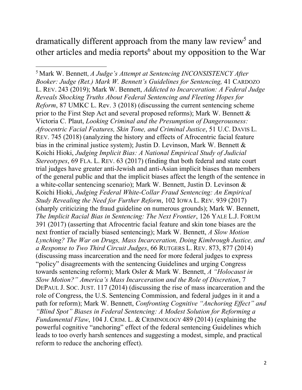dramatically different approach from the many law review<sup>5</sup> and other articles and media reports<sup>6</sup> about my opposition to the War

l

<sup>5</sup> Mark W. Bennett, *A Judge's Attempt at Sentencing INCONSISTENCY After Booker: Judge (Ret.) Mark W. Bennett's Guidelines for Sentencing,* 41 CARDOZO L. REV. 243 (2019); Mark W. Bennett, *Addicted to Incarceration: A Federal Judge Reveals Shocking Truths About Federal Sentencing and Fleeting Hopes for Reform*, 87 UMKC L. Rev. 3 (2018) (discussing the current sentencing scheme prior to the First Step Act and several proposed reforms); Mark W. Bennett & Victoria C. Plaut, *Looking Criminal and the Presumption of Dangerousness: Afrocentric Facial Features, Skin Tone, and Criminal Justice*, 51 U.C. DAVIS L. REV. 745 (2018) (analyzing the history and effects of Afrocentric facial feature bias in the criminal justice system); Justin D. Levinson, Mark W. Bennett & Koichi Hioki, *Judging Implicit Bias: A National Empirical Study of Judicial Stereotypes*, 69 FLA. L. REV. 63 (2017) (finding that both federal and state court trial judges have greater anti-Jewish and anti-Asian implicit biases than members of the general public and that the implicit biases affect the length of the sentence in a white-collar sentencing scenario); Mark W. Bennett, Justin D. Levinson & Koichi Hioki, *Judging Federal White-Collar Fraud Sentencing: An Empirical Study Revealing the Need for Further Reform*, 102 IOWA L. REV. 939 (2017) (sharply criticizing the fraud guideline on numerous grounds); Mark W. Bennett, *The Implicit Racial Bias in Sentencing: The Next Frontier*, 126 YALE L.J. FORUM 391 (2017) (asserting that Afrocentric facial feature and skin tone biases are the next frontier of racially biased sentencing); Mark W. Bennett, *A Slow Motion Lynching? The War on Drugs, Mass Incarceration, Doing Kimbrough Justice, and a Response to Two Third Circuit Judges*, 66 RUTGERS L. REV. 873, 877 (2014) (discussing mass incarceration and the need for more federal judges to express "policy" disagreements with the sentencing Guidelines and urging Congress towards sentencing reform); Mark Osler & Mark W. Bennett, *A "Holocaust in Slow Motion?" America's Mass Incarceration and the Role of Discretion*, 7 DEPAUL J. SOC. JUST. 117 (2014) (discussing the rise of mass incarceration and the role of Congress, the U.S. Sentencing Commission, and federal judges in it and a path for reform); Mark W. Bennett, *Confronting Cognitive "Anchoring Effect" and "Blind Spot" Biases in Federal Sentencing: A Modest Solution for Reforming a Fundamental Flaw*, 104 J. CRIM. L. & CRIMINOLOGY 489 (2014) (explaining the powerful cognitive "anchoring" effect of the federal sentencing Guidelines which leads to too overly harsh sentences and suggesting a modest, simple, and practical reform to reduce the anchoring effect).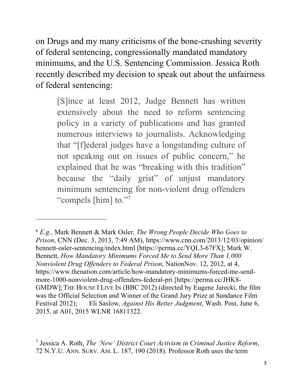on Drugs and my many criticisms of the bone-crushing severity of federal sentencing, congressionally mandated mandatory minimums, and the U.S. Sentencing Commission. Jessica Roth recently described my decision to speak out about the unfairness of federal sentencing:

[S]ince at least 2012, Judge Bennett has written extensively about the need to reform sentencing policy in a variety of publications and has granted numerous interviews to journalists. Acknowledging that "[f]ederal judges have a longstanding culture of not speaking out on issues of public concern," he explained that he was "breaking with this tradition" because the "daily grist" of unjust mandatory minimum sentencing for non-violent drug offenders "compels [him] to."7"

 $\overline{a}$ 

<sup>6</sup> *E.g.*, Mark Bennett & Mark Osler, *The Wrong People Decide Who Goes to Prison*, CNN (Dec. 3, 2013, 7:49 AM), https://www.cnn.com/2013/12/03/opinion/ bennett-osler-sentencing/index.html [https://perma.cc/YQL3-67FX]; Mark W. Bennett, *How Mandatory Minimums Forced Me to Send More Than 1,000 Nonviolent Drug Offenders to Federal Prison*, NationNov. 12, 2012, at 4, https://www.thenation.com/article/how-mandatory-minimums-forced-me-sendmore-1000-nonviolent-drug-offenders-federal-pri [https://perma.cc/JHK8- GMDW];THE HOUSE I LIVE IN (BBC 2012) (directed by Eugene Jarecki, the film was the Official Selection and Winner of the Grand Jury Prize at Sundance Film Festival 2012); Eli Saslow, *Against His Better Judgment*, Wash. Post, June 6, 2015, at A01, 2015 WLNR 16811322.

<sup>7</sup> Jessica A. Roth, *The 'New' District Court Activism in Criminal Justice Reform*, 72 N.Y.U. ANN. SURV. AM. L. 187, 190 (2018). Professor Roth uses the term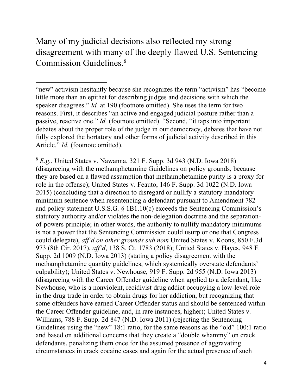Many of my judicial decisions also reflected my strong disagreement with many of the deeply flawed U.S. Sentencing Commission Guidelines.8

 $\overline{a}$ 

"new" activism hesitantly because she recognizes the term "activism" has "become little more than an epithet for describing judges and decisions with which the speaker disagrees." *Id.* at 190 (footnote omitted). She uses the term for two reasons. First, it describes "an active and engaged judicial posture rather than a passive, reactive one." *Id.* (footnote omitted). "Second, "it taps into important debates about the proper role of the judge in our democracy, debates that have not fully explored the hortatory and other forms of judicial activity described in this Article." *Id.* (footnote omitted).

<sup>8</sup> *E.g.*, United States v. Nawanna, 321 F. Supp. 3d 943 (N.D. Iowa 2018) (disagreeing with the methamphetamine Guidelines on policy grounds, because they are based on a flawed assumption that methamphetamine purity is a proxy for role in the offense); United States v. Feauto, 146 F. Supp. 3d 1022 (N.D. Iowa 2015) (concluding that a direction to disregard or nullify a statutory mandatory minimum sentence when resentencing a defendant pursuant to Amendment 782 and policy statement U.S.S.G. § 1B1.10(c) exceeds the Sentencing Commission's statutory authority and/or violates the non-delegation doctrine and the separationof-powers principle; in other words, the authority to nullify mandatory minimums is not a power that the Sentencing Commission could usurp or one that Congress could delegate), *aff'd on other grounds sub nom* United States v. Koons, 850 F.3d 973 (8th Cir. 2017), *aff'd*, 138 S. Ct. 1783 (2018); United States v. Hayes, 948 F. Supp. 2d 1009 (N.D. Iowa 2013) (stating a policy disagreement with the methamphetamine quantity guidelines, which systemically overstate defendants' culpability); United States v. Newhouse, 919 F. Supp. 2d 955 (N.D. Iowa 2013) (disagreeing with the Career Offender guideline when applied to a defendant, like Newhouse, who is a nonviolent, recidivist drug addict occupying a low-level role in the drug trade in order to obtain drugs for her addiction, but recognizing that some offenders have earned Career Offender status and should be sentenced within the Career Offender guideline, and, in rare instances, higher); United States v. Williams, 788 F. Supp. 2d 847 (N.D. Iowa 2011) (rejecting the Sentencing Guidelines using the "new" 18:1 ratio, for the same reasons as the "old" 100:1 ratio and based on additional concerns that they create a "double whammy" on crack defendants, penalizing them once for the assumed presence of aggravating circumstances in crack cocaine cases and again for the actual presence of such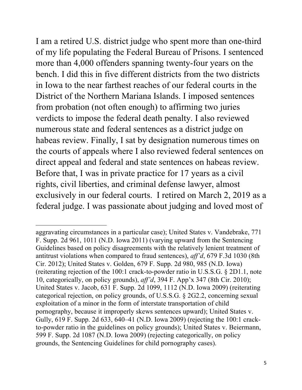I am a retired U.S. district judge who spent more than one-third of my life populating the Federal Bureau of Prisons. I sentenced more than 4,000 offenders spanning twenty-four years on the bench. I did this in five different districts from the two districts in Iowa to the near farthest reaches of our federal courts in the District of the Northern Mariana Islands. I imposed sentences from probation (not often enough) to affirming two juries verdicts to impose the federal death penalty. I also reviewed numerous state and federal sentences as a district judge on habeas review. Finally, I sat by designation numerous times on the courts of appeals where I also reviewed federal sentences on direct appeal and federal and state sentences on habeas review. Before that, I was in private practice for 17 years as a civil rights, civil liberties, and criminal defense lawyer, almost exclusively in our federal courts. I retired on March 2, 2019 as a federal judge. I was passionate about judging and loved most of

 $\overline{a}$ 

aggravating circumstances in a particular case); United States v. Vandebrake, 771 F. Supp. 2d 961, 1011 (N.D. Iowa 2011) (varying upward from the Sentencing Guidelines based on policy disagreements with the relatively lenient treatment of antitrust violations when compared to fraud sentences), *aff'd*, 679 F.3d 1030 (8th Cir. 2012); United States v. Golden, 679 F. Supp. 2d 980, 985 (N.D. Iowa) (reiterating rejection of the 100:1 crack-to-powder ratio in U.S.S.G. § 2D1.1, note 10, categorically, on policy grounds), *aff'd*, 394 F. App'x 347 (8th Cir. 2010); United States v. Jacob, 631 F. Supp. 2d 1099, 1112 (N.D. Iowa 2009) (reiterating categorical rejection, on policy grounds, of U.S.S.G. § 2G2.2, concerning sexual exploitation of a minor in the form of interstate transportation of child pornography, because it improperly skews sentences upward); United States v. Gully, 619 F. Supp. 2d 633, 640–41 (N.D. Iowa 2009) (rejecting the 100:1 crackto-powder ratio in the guidelines on policy grounds); United States v. Beiermann, 599 F. Supp. 2d 1087 (N.D. Iowa 2009) (rejecting categorically, on policy grounds, the Sentencing Guidelines for child pornography cases).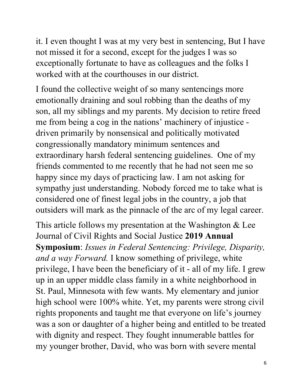it. I even thought I was at my very best in sentencing, But I have not missed it for a second, except for the judges I was so exceptionally fortunate to have as colleagues and the folks I worked with at the courthouses in our district.

I found the collective weight of so many sentencings more emotionally draining and soul robbing than the deaths of my son, all my siblings and my parents. My decision to retire freed me from being a cog in the nations' machinery of injustice driven primarily by nonsensical and politically motivated congressionally mandatory minimum sentences and extraordinary harsh federal sentencing guidelines. One of my friends commented to me recently that he had not seen me so happy since my days of practicing law. I am not asking for sympathy just understanding. Nobody forced me to take what is considered one of finest legal jobs in the country, a job that outsiders will mark as the pinnacle of the arc of my legal career.

This article follows my presentation at the Washington & Lee Journal of Civil Rights and Social Justice **2019 Annual Symposium**: *Issues in Federal Sentencing: Privilege, Disparity, and a way Forward.* I know something of privilege, white privilege, I have been the beneficiary of it - all of my life. I grew up in an upper middle class family in a white neighborhood in St. Paul, Minnesota with few wants. My elementary and junior high school were 100% white. Yet, my parents were strong civil rights proponents and taught me that everyone on life's journey was a son or daughter of a higher being and entitled to be treated with dignity and respect. They fought innumerable battles for my younger brother, David, who was born with severe mental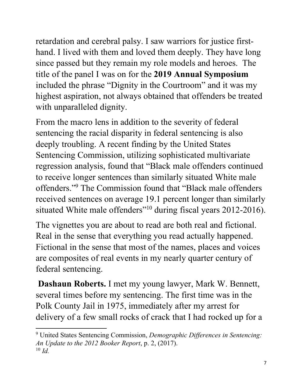retardation and cerebral palsy. I saw warriors for justice firsthand. I lived with them and loved them deeply. They have long since passed but they remain my role models and heroes. The title of the panel I was on for the **2019 Annual Symposium** included the phrase "Dignity in the Courtroom" and it was my highest aspiration, not always obtained that offenders be treated with unparalleled dignity.

From the macro lens in addition to the severity of federal sentencing the racial disparity in federal sentencing is also deeply troubling. A recent finding by the United States Sentencing Commission, utilizing sophisticated multivariate regression analysis, found that "Black male offenders continued to receive longer sentences than similarly situated White male offenders."9 The Commission found that "Black male offenders received sentences on average 19.1 percent longer than similarly situated White male offenders<sup>"10</sup> during fiscal years 2012-2016).

The vignettes you are about to read are both real and fictional. Real in the sense that everything you read actually happened. Fictional in the sense that most of the names, places and voices are composites of real events in my nearly quarter century of federal sentencing.

**Dashaun Roberts.** I met my young lawyer, Mark W. Bennett, several times before my sentencing. The first time was in the Polk County Jail in 1975, immediately after my arrest for delivery of a few small rocks of crack that I had rocked up for a

l

<sup>9</sup> United States Sentencing Commission, *Demographic Differences in Sentencing: An Update to the 2012 Booker Report*, p. 2, (2017). <sup>10</sup> *Id.*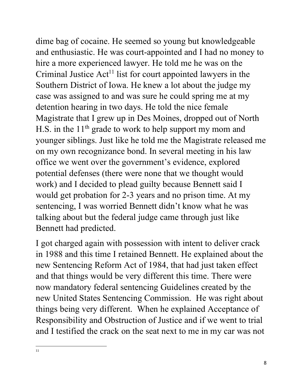dime bag of cocaine. He seemed so young but knowledgeable and enthusiastic. He was court-appointed and I had no money to hire a more experienced lawyer. He told me he was on the Criminal Justice  $Act<sup>11</sup>$  list for court appointed lawyers in the Southern District of Iowa. He knew a lot about the judge my case was assigned to and was sure he could spring me at my detention hearing in two days. He told the nice female Magistrate that I grew up in Des Moines, dropped out of North H.S. in the  $11<sup>th</sup>$  grade to work to help support my mom and younger siblings. Just like he told me the Magistrate released me on my own recognizance bond. In several meeting in his law office we went over the government's evidence, explored potential defenses (there were none that we thought would work) and I decided to plead guilty because Bennett said I would get probation for 2-3 years and no prison time. At my sentencing, I was worried Bennett didn't know what he was talking about but the federal judge came through just like Bennett had predicted.

I got charged again with possession with intent to deliver crack in 1988 and this time I retained Bennett. He explained about the new Sentencing Reform Act of 1984, that had just taken effect and that things would be very different this time. There were now mandatory federal sentencing Guidelines created by the new United States Sentencing Commission. He was right about things being very different. When he explained Acceptance of Responsibility and Obstruction of Justice and if we went to trial and I testified the crack on the seat next to me in my car was not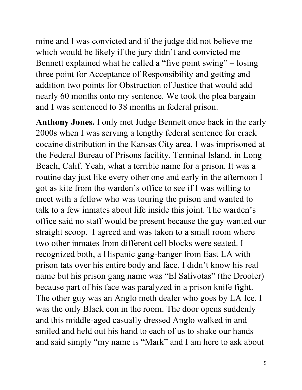mine and I was convicted and if the judge did not believe me which would be likely if the jury didn't and convicted me Bennett explained what he called a "five point swing" – losing three point for Acceptance of Responsibility and getting and addition two points for Obstruction of Justice that would add nearly 60 months onto my sentence. We took the plea bargain and I was sentenced to 38 months in federal prison.

**Anthony Jones.** I only met Judge Bennett once back in the early 2000s when I was serving a lengthy federal sentence for crack cocaine distribution in the Kansas City area. I was imprisoned at the Federal Bureau of Prisons facility, Terminal Island, in Long Beach, Calif. Yeah, what a terrible name for a prison. It was a routine day just like every other one and early in the afternoon I got as kite from the warden's office to see if I was willing to meet with a fellow who was touring the prison and wanted to talk to a few inmates about life inside this joint. The warden's office said no staff would be present because the guy wanted our straight scoop. I agreed and was taken to a small room where two other inmates from different cell blocks were seated. I recognized both, a Hispanic gang-banger from East LA with prison tats over his entire body and face. I didn't know his real name but his prison gang name was "El Salivotas" (the Drooler) because part of his face was paralyzed in a prison knife fight. The other guy was an Anglo meth dealer who goes by LA Ice. I was the only Black con in the room. The door opens suddenly and this middle-aged casually dressed Anglo walked in and smiled and held out his hand to each of us to shake our hands and said simply "my name is "Mark" and I am here to ask about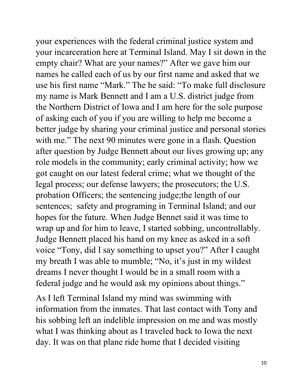your experiences with the federal criminal justice system and your incarceration here at Terminal Island. May I sit down in the empty chair? What are your names?" After we gave him our names he called each of us by our first name and asked that we use his first name "Mark." The he said: "To make full disclosure my name is Mark Bennett and I am a U.S. district judge from the Northern District of Iowa and I am here for the sole purpose of asking each of you if you are willing to help me become a better judge by sharing your criminal justice and personal stories with me." The next 90 minutes were gone in a flash. Question after question by Judge Bennett about our lives growing up; any role models in the community; early criminal activity; how we got caught on our latest federal crime; what we thought of the legal process; our defense lawyers; the prosecutors; the U.S. probation Officers; the sentencing judge;the length of our sentences; safety and programing in Terminal Island; and our hopes for the future. When Judge Bennet said it was time to wrap up and for him to leave, I started sobbing, uncontrollably. Judge Bennett placed his hand on my knee as asked in a soft voice "Tony, did I say something to upset you?" After I caught my breath I was able to mumble; "No, it's just in my wildest dreams I never thought I would be in a small room with a federal judge and he would ask my opinions about things."

As I left Terminal Island my mind was swimming with information from the inmates. That last contact with Tony and his sobbing left an indelible impression on me and was mostly what I was thinking about as I traveled back to Iowa the next day. It was on that plane ride home that I decided visiting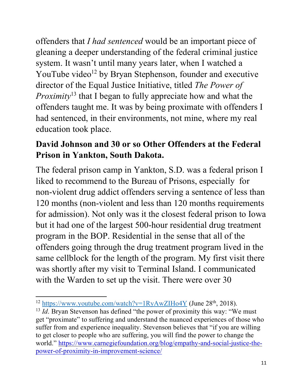offenders that *I had sentenced* would be an important piece of gleaning a deeper understanding of the federal criminal justice system. It wasn't until many years later, when I watched a YouTube video<sup>12</sup> by Bryan Stephenson, founder and executive director of the Equal Justice Initiative, titled *The Power of Proximity*<sup>13</sup> that I began to fully appreciate how and what the offenders taught me. It was by being proximate with offenders I had sentenced, in their environments, not mine, where my real education took place.

## **David Johnson and 30 or so Other Offenders at the Federal Prison in Yankton, South Dakota.**

The federal prison camp in Yankton, S.D. was a federal prison I liked to recommend to the Bureau of Prisons, especially for non-violent drug addict offenders serving a sentence of less than 120 months (non-violent and less than 120 months requirements for admission). Not only was it the closest federal prison to Iowa but it had one of the largest 500-hour residential drug treatment program in the BOP. Residential in the sense that all of the offenders going through the drug treatment program lived in the same cellblock for the length of the program. My first visit there was shortly after my visit to Terminal Island. I communicated with the Warden to set up the visit. There were over 30

 $\overline{a}$ 

 $12 \frac{\text{https://www.youtube.com/watch?v=1RyAwZIHo4Y}}{\text{https://www.youtube.com/watch?v=1RyAwZIHo4Y}}$  (June 28<sup>th</sup>, 2018).

<sup>&</sup>lt;sup>13</sup> *Id*. Bryan Stevenson has defined "the power of proximity this way: "We must get "proximate" to suffering and understand the nuanced experiences of those who suffer from and experience inequality. Stevenson believes that "if you are willing to get closer to people who are suffering, you will find the power to change the world." https://www.carnegiefoundation.org/blog/empathy-and-social-justice-thepower-of-proximity-in-improvement-science/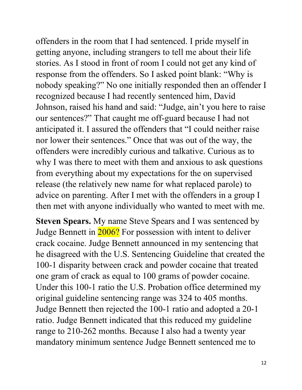offenders in the room that I had sentenced. I pride myself in getting anyone, including strangers to tell me about their life stories. As I stood in front of room I could not get any kind of response from the offenders. So I asked point blank: "Why is nobody speaking?" No one initially responded then an offender I recognized because I had recently sentenced him, David Johnson, raised his hand and said: "Judge, ain't you here to raise our sentences?" That caught me off-guard because I had not anticipated it. I assured the offenders that "I could neither raise nor lower their sentences." Once that was out of the way, the offenders were incredibly curious and talkative. Curious as to why I was there to meet with them and anxious to ask questions from everything about my expectations for the on supervised release (the relatively new name for what replaced parole) to advice on parenting. After I met with the offenders in a group I then met with anyone individually who wanted to meet with me.

**Steven Spears.** My name Steve Spears and I was sentenced by Judge Bennett in 2006? For possession with intent to deliver crack cocaine. Judge Bennett announced in my sentencing that he disagreed with the U.S. Sentencing Guideline that created the 100-1 disparity between crack and powder cocaine that treated one gram of crack as equal to 100 grams of powder cocaine. Under this 100-1 ratio the U.S. Probation office determined my original guideline sentencing range was 324 to 405 months. Judge Bennett then rejected the 100-1 ratio and adopted a 20-1 ratio. Judge Bennett indicated that this reduced my guideline range to 210-262 months. Because I also had a twenty year mandatory minimum sentence Judge Bennett sentenced me to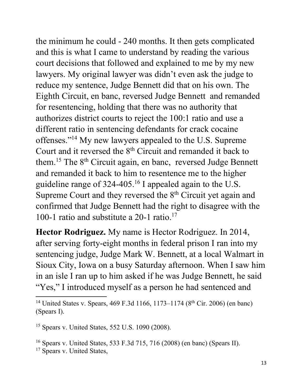the minimum he could - 240 months. It then gets complicated and this is what I came to understand by reading the various court decisions that followed and explained to me by my new lawyers. My original lawyer was didn't even ask the judge to reduce my sentence, Judge Bennett did that on his own. The Eighth Circuit, en banc, reversed Judge Bennett and remanded for resentencing, holding that there was no authority that authorizes district courts to reject the 100:1 ratio and use a different ratio in sentencing defendants for crack cocaine offenses."14 My new lawyers appealed to the U.S. Supreme Court and it reversed the 8<sup>th</sup> Circuit and remanded it back to them.<sup>15</sup> The 8<sup>th</sup> Circuit again, en banc, reversed Judge Bennett and remanded it back to him to resentence me to the higher guideline range of  $324-405$ .<sup>16</sup> I appealed again to the U.S. Supreme Court and they reversed the 8<sup>th</sup> Circuit yet again and confirmed that Judge Bennett had the right to disagree with the 100-1 ratio and substitute a 20-1 ratio.<sup>17</sup>

**Hector Rodriguez.** My name is Hector Rodriguez. In 2014, after serving forty-eight months in federal prison I ran into my sentencing judge, Judge Mark W. Bennett, at a local Walmart in Sioux City, Iowa on a busy Saturday afternoon. When I saw him in an isle I ran up to him asked if he was Judge Bennett, he said "Yes," I introduced myself as a person he had sentenced and  $\frac{14 \text{ United States v. Spears}}{14 \text{ United States v. Spears}}$ , 469 F.3d 1166, 1173–1174 (8<sup>th</sup> Cir. 2006) (en banc)

<sup>15</sup> Spears v. United States, 552 U.S. 1090 (2008).

<sup>16</sup> Spears v. United States, 533 F.3d 715, 716 (2008) (en banc) (Spears II).

<sup>(</sup>Spears I).

<sup>&</sup>lt;sup>17</sup> Spears v. United States,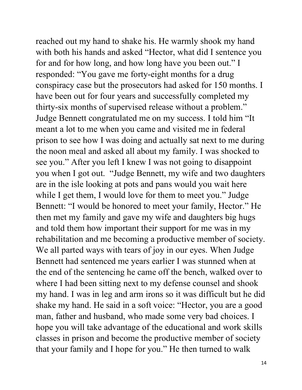reached out my hand to shake his. He warmly shook my hand with both his hands and asked "Hector, what did I sentence you for and for how long, and how long have you been out." I responded: "You gave me forty-eight months for a drug conspiracy case but the prosecutors had asked for 150 months. I have been out for four years and successfully completed my thirty-six months of supervised release without a problem." Judge Bennett congratulated me on my success. I told him "It meant a lot to me when you came and visited me in federal prison to see how I was doing and actually sat next to me during the noon meal and asked all about my family. I was shocked to see you." After you left I knew I was not going to disappoint you when I got out. "Judge Bennett, my wife and two daughters are in the isle looking at pots and pans would you wait here while I get them, I would love for them to meet you." Judge Bennett: "I would be honored to meet your family, Hector." He then met my family and gave my wife and daughters big hugs and told them how important their support for me was in my rehabilitation and me becoming a productive member of society. We all parted ways with tears of joy in our eyes. When Judge Bennett had sentenced me years earlier I was stunned when at the end of the sentencing he came off the bench, walked over to where I had been sitting next to my defense counsel and shook my hand. I was in leg and arm irons so it was difficult but he did shake my hand. He said in a soft voice: "Hector, you are a good man, father and husband, who made some very bad choices. I hope you will take advantage of the educational and work skills classes in prison and become the productive member of society that your family and I hope for you." He then turned to walk